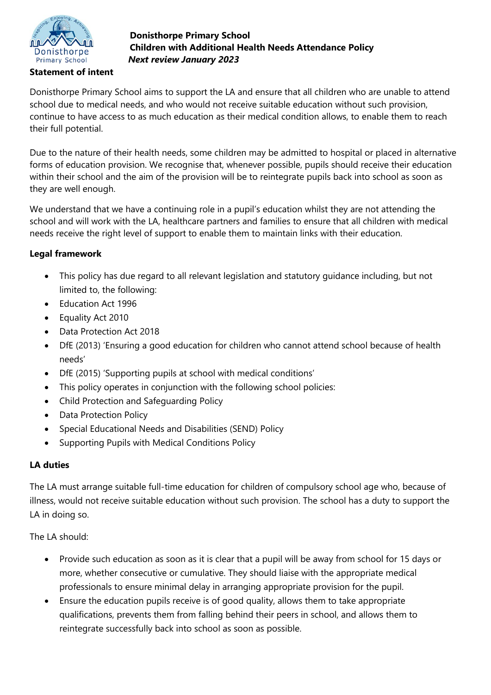

**Statement of intent** 

## **Donisthorpe Primary School Children with Additional Health Needs Attendance Policy** *Next review January 2023*

Donisthorpe Primary School aims to support the LA and ensure that all children who are unable to attend school due to medical needs, and who would not receive suitable education without such provision, continue to have access to as much education as their medical condition allows, to enable them to reach their full potential.

Due to the nature of their health needs, some children may be admitted to hospital or placed in alternative forms of education provision. We recognise that, whenever possible, pupils should receive their education within their school and the aim of the provision will be to reintegrate pupils back into school as soon as they are well enough.

We understand that we have a continuing role in a pupil's education whilst they are not attending the school and will work with the LA, healthcare partners and families to ensure that all children with medical needs receive the right level of support to enable them to maintain links with their education.

# **Legal framework**

- This policy has due regard to all relevant legislation and statutory guidance including, but not limited to, the following:
- Education Act 1996
- Equality Act 2010
- Data Protection Act 2018
- DfE (2013) 'Ensuring a good education for children who cannot attend school because of health needs'
- DfE (2015) 'Supporting pupils at school with medical conditions'
- This policy operates in conjunction with the following school policies:
- Child Protection and Safeguarding Policy
- Data Protection Policy
- Special Educational Needs and Disabilities (SEND) Policy
- Supporting Pupils with Medical Conditions Policy

## **LA duties**

The LA must arrange suitable full-time education for children of compulsory school age who, because of illness, would not receive suitable education without such provision. The school has a duty to support the LA in doing so.

The LA should:

- Provide such education as soon as it is clear that a pupil will be away from school for 15 days or more, whether consecutive or cumulative. They should liaise with the appropriate medical professionals to ensure minimal delay in arranging appropriate provision for the pupil.
- Ensure the education pupils receive is of good quality, allows them to take appropriate qualifications, prevents them from falling behind their peers in school, and allows them to reintegrate successfully back into school as soon as possible.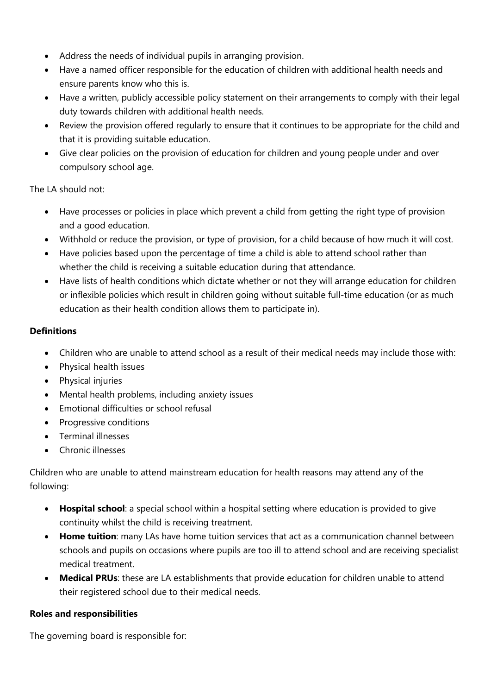- Address the needs of individual pupils in arranging provision.
- Have a named officer responsible for the education of children with additional health needs and ensure parents know who this is.
- Have a written, publicly accessible policy statement on their arrangements to comply with their legal duty towards children with additional health needs.
- Review the provision offered regularly to ensure that it continues to be appropriate for the child and that it is providing suitable education.
- Give clear policies on the provision of education for children and young people under and over compulsory school age.

The LA should not:

- Have processes or policies in place which prevent a child from getting the right type of provision and a good education.
- Withhold or reduce the provision, or type of provision, for a child because of how much it will cost.
- Have policies based upon the percentage of time a child is able to attend school rather than whether the child is receiving a suitable education during that attendance.
- Have lists of health conditions which dictate whether or not they will arrange education for children or inflexible policies which result in children going without suitable full-time education (or as much education as their health condition allows them to participate in).

### **Definitions**

- Children who are unable to attend school as a result of their medical needs may include those with:
- Physical health issues
- Physical injuries
- Mental health problems, including anxiety issues
- Emotional difficulties or school refusal
- Progressive conditions
- Terminal illnesses
- Chronic illnesses

Children who are unable to attend mainstream education for health reasons may attend any of the following:

- **Hospital school**: a special school within a hospital setting where education is provided to give continuity whilst the child is receiving treatment.
- **Home tuition**: many LAs have home tuition services that act as a communication channel between schools and pupils on occasions where pupils are too ill to attend school and are receiving specialist medical treatment.
- **Medical PRUs**: these are LA establishments that provide education for children unable to attend their registered school due to their medical needs.

#### **Roles and responsibilities**

The governing board is responsible for: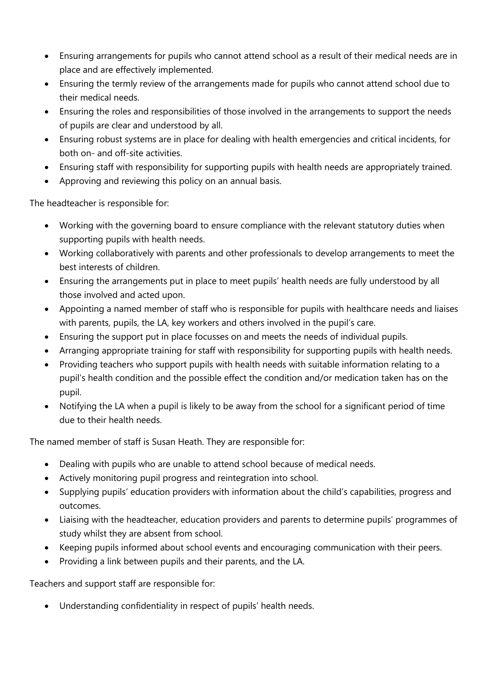- Ensuring arrangements for pupils who cannot attend school as a result of their medical needs are in place and are effectively implemented.
- Ensuring the termly review of the arrangements made for pupils who cannot attend school due to their medical needs.
- Ensuring the roles and responsibilities of those involved in the arrangements to support the needs of pupils are clear and understood by all.
- Ensuring robust systems are in place for dealing with health emergencies and critical incidents, for both on- and off-site activities.
- Ensuring staff with responsibility for supporting pupils with health needs are appropriately trained.
- Approving and reviewing this policy on an annual basis.

The headteacher is responsible for:

- Working with the governing board to ensure compliance with the relevant statutory duties when supporting pupils with health needs.
- Working collaboratively with parents and other professionals to develop arrangements to meet the best interests of children.
- Ensuring the arrangements put in place to meet pupils' health needs are fully understood by all those involved and acted upon.
- Appointing a named member of staff who is responsible for pupils with healthcare needs and liaises with parents, pupils, the LA, key workers and others involved in the pupil's care.
- Ensuring the support put in place focusses on and meets the needs of individual pupils.
- Arranging appropriate training for staff with responsibility for supporting pupils with health needs.
- Providing teachers who support pupils with health needs with suitable information relating to a pupil's health condition and the possible effect the condition and/or medication taken has on the pupil.
- Notifying the LA when a pupil is likely to be away from the school for a significant period of time due to their health needs.

The named member of staff is Susan Heath. They are responsible for:

- Dealing with pupils who are unable to attend school because of medical needs.
- Actively monitoring pupil progress and reintegration into school.
- Supplying pupils' education providers with information about the child's capabilities, progress and outcomes.
- Liaising with the headteacher, education providers and parents to determine pupils' programmes of study whilst they are absent from school.
- Keeping pupils informed about school events and encouraging communication with their peers.
- Providing a link between pupils and their parents, and the LA.

Teachers and support staff are responsible for:

Understanding confidentiality in respect of pupils' health needs.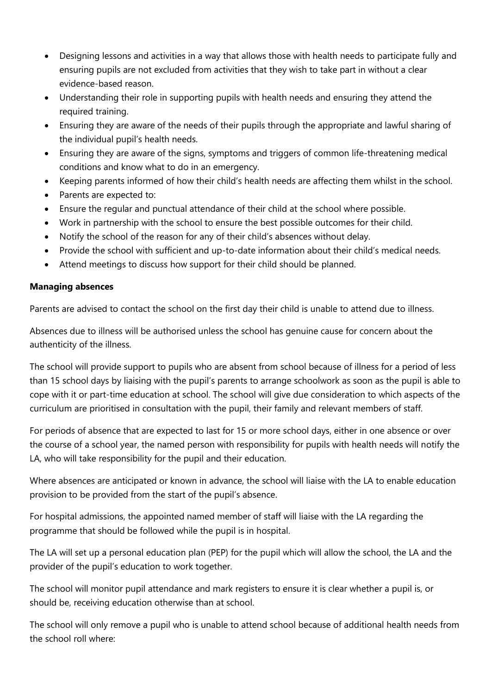- Designing lessons and activities in a way that allows those with health needs to participate fully and ensuring pupils are not excluded from activities that they wish to take part in without a clear evidence-based reason.
- Understanding their role in supporting pupils with health needs and ensuring they attend the required training.
- Ensuring they are aware of the needs of their pupils through the appropriate and lawful sharing of the individual pupil's health needs.
- Ensuring they are aware of the signs, symptoms and triggers of common life-threatening medical conditions and know what to do in an emergency.
- Keeping parents informed of how their child's health needs are affecting them whilst in the school.
- Parents are expected to:
- Ensure the regular and punctual attendance of their child at the school where possible.
- Work in partnership with the school to ensure the best possible outcomes for their child.
- Notify the school of the reason for any of their child's absences without delay.
- Provide the school with sufficient and up-to-date information about their child's medical needs.
- Attend meetings to discuss how support for their child should be planned.

### **Managing absences**

Parents are advised to contact the school on the first day their child is unable to attend due to illness.

Absences due to illness will be authorised unless the school has genuine cause for concern about the authenticity of the illness.

The school will provide support to pupils who are absent from school because of illness for a period of less than 15 school days by liaising with the pupil's parents to arrange schoolwork as soon as the pupil is able to cope with it or part-time education at school. The school will give due consideration to which aspects of the curriculum are prioritised in consultation with the pupil, their family and relevant members of staff.

For periods of absence that are expected to last for 15 or more school days, either in one absence or over the course of a school year, the named person with responsibility for pupils with health needs will notify the LA, who will take responsibility for the pupil and their education.

Where absences are anticipated or known in advance, the school will liaise with the LA to enable education provision to be provided from the start of the pupil's absence.

For hospital admissions, the appointed named member of staff will liaise with the LA regarding the programme that should be followed while the pupil is in hospital.

The LA will set up a personal education plan (PEP) for the pupil which will allow the school, the LA and the provider of the pupil's education to work together.

The school will monitor pupil attendance and mark registers to ensure it is clear whether a pupil is, or should be, receiving education otherwise than at school.

The school will only remove a pupil who is unable to attend school because of additional health needs from the school roll where: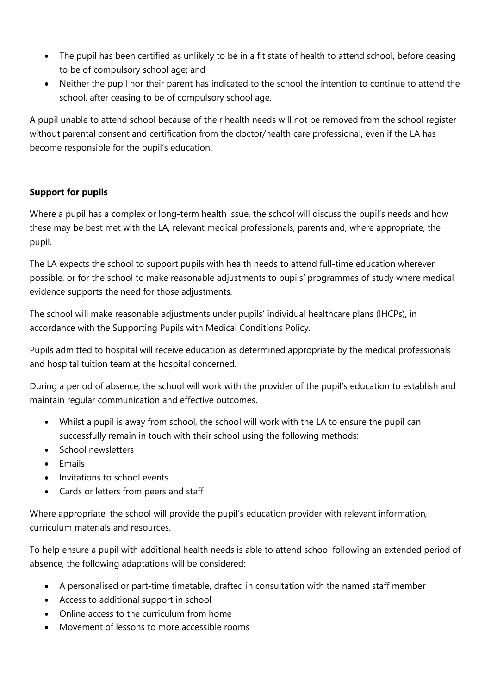- The pupil has been certified as unlikely to be in a fit state of health to attend school, before ceasing to be of compulsory school age; and
- Neither the pupil nor their parent has indicated to the school the intention to continue to attend the school, after ceasing to be of compulsory school age.

A pupil unable to attend school because of their health needs will not be removed from the school register without parental consent and certification from the doctor/health care professional, even if the LA has become responsible for the pupil's education.

### **Support for pupils**

Where a pupil has a complex or long-term health issue, the school will discuss the pupil's needs and how these may be best met with the LA, relevant medical professionals, parents and, where appropriate, the pupil.

The LA expects the school to support pupils with health needs to attend full-time education wherever possible, or for the school to make reasonable adjustments to pupils' programmes of study where medical evidence supports the need for those adjustments.

The school will make reasonable adjustments under pupils' individual healthcare plans (IHCPs), in accordance with the Supporting Pupils with Medical Conditions Policy.

Pupils admitted to hospital will receive education as determined appropriate by the medical professionals and hospital tuition team at the hospital concerned.

During a period of absence, the school will work with the provider of the pupil's education to establish and maintain regular communication and effective outcomes.

- Whilst a pupil is away from school, the school will work with the LA to ensure the pupil can successfully remain in touch with their school using the following methods:
- School newsletters
- $\bullet$  Emails
- Invitations to school events
- Cards or letters from peers and staff

Where appropriate, the school will provide the pupil's education provider with relevant information, curriculum materials and resources.

To help ensure a pupil with additional health needs is able to attend school following an extended period of absence, the following adaptations will be considered:

- A personalised or part-time timetable, drafted in consultation with the named staff member
- Access to additional support in school
- Online access to the curriculum from home
- Movement of lessons to more accessible rooms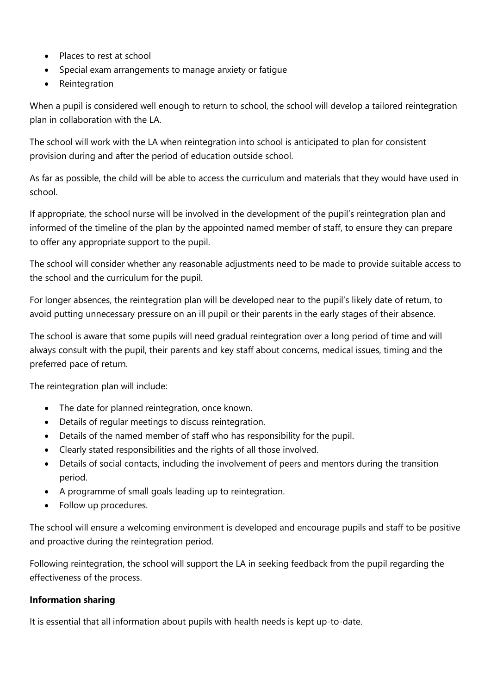- Places to rest at school
- Special exam arrangements to manage anxiety or fatigue
- Reintegration

When a pupil is considered well enough to return to school, the school will develop a tailored reintegration plan in collaboration with the LA.

The school will work with the LA when reintegration into school is anticipated to plan for consistent provision during and after the period of education outside school.

As far as possible, the child will be able to access the curriculum and materials that they would have used in school.

If appropriate, the school nurse will be involved in the development of the pupil's reintegration plan and informed of the timeline of the plan by the appointed named member of staff, to ensure they can prepare to offer any appropriate support to the pupil.

The school will consider whether any reasonable adjustments need to be made to provide suitable access to the school and the curriculum for the pupil.

For longer absences, the reintegration plan will be developed near to the pupil's likely date of return, to avoid putting unnecessary pressure on an ill pupil or their parents in the early stages of their absence.

The school is aware that some pupils will need gradual reintegration over a long period of time and will always consult with the pupil, their parents and key staff about concerns, medical issues, timing and the preferred pace of return.

The reintegration plan will include:

- The date for planned reintegration, once known.
- Details of regular meetings to discuss reintegration.
- Details of the named member of staff who has responsibility for the pupil.
- Clearly stated responsibilities and the rights of all those involved.
- Details of social contacts, including the involvement of peers and mentors during the transition period.
- A programme of small goals leading up to reintegration.
- Follow up procedures.

The school will ensure a welcoming environment is developed and encourage pupils and staff to be positive and proactive during the reintegration period.

Following reintegration, the school will support the LA in seeking feedback from the pupil regarding the effectiveness of the process.

## **Information sharing**

It is essential that all information about pupils with health needs is kept up-to-date.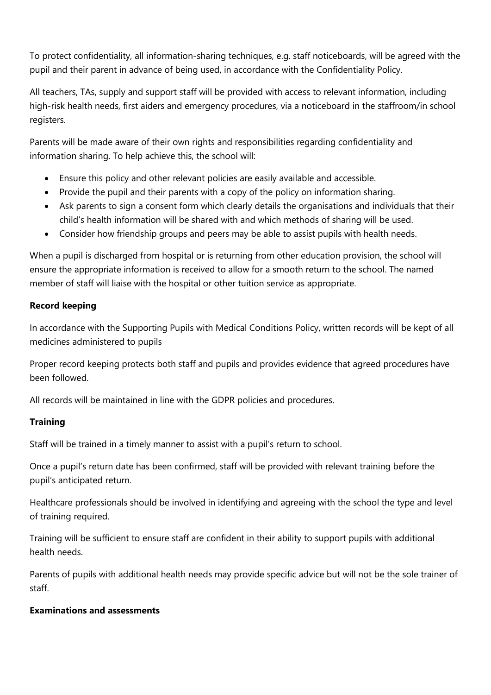To protect confidentiality, all information-sharing techniques, e.g. staff noticeboards, will be agreed with the pupil and their parent in advance of being used, in accordance with the Confidentiality Policy.

All teachers, TAs, supply and support staff will be provided with access to relevant information, including high-risk health needs, first aiders and emergency procedures, via a noticeboard in the staffroom/in school registers.

Parents will be made aware of their own rights and responsibilities regarding confidentiality and information sharing. To help achieve this, the school will:

- Ensure this policy and other relevant policies are easily available and accessible.
- Provide the pupil and their parents with a copy of the policy on information sharing.
- Ask parents to sign a consent form which clearly details the organisations and individuals that their child's health information will be shared with and which methods of sharing will be used.
- Consider how friendship groups and peers may be able to assist pupils with health needs.

When a pupil is discharged from hospital or is returning from other education provision, the school will ensure the appropriate information is received to allow for a smooth return to the school. The named member of staff will liaise with the hospital or other tuition service as appropriate.

### **Record keeping**

In accordance with the Supporting Pupils with Medical Conditions Policy, written records will be kept of all medicines administered to pupils

Proper record keeping protects both staff and pupils and provides evidence that agreed procedures have been followed.

All records will be maintained in line with the GDPR policies and procedures.

## **Training**

Staff will be trained in a timely manner to assist with a pupil's return to school.

Once a pupil's return date has been confirmed, staff will be provided with relevant training before the pupil's anticipated return.

Healthcare professionals should be involved in identifying and agreeing with the school the type and level of training required.

Training will be sufficient to ensure staff are confident in their ability to support pupils with additional health needs.

Parents of pupils with additional health needs may provide specific advice but will not be the sole trainer of staff.

## **Examinations and assessments**